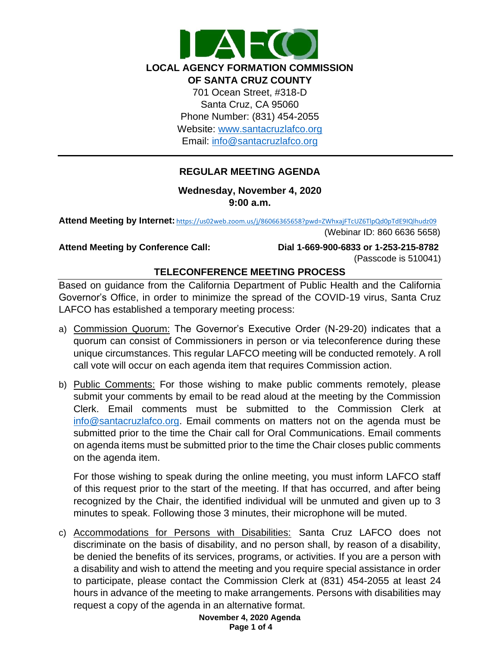

## **REGULAR MEETING AGENDA**

**Wednesday, November 4, 2020 9:00 a.m.**

**Attend Meeting by Internet:** <https://us02web.zoom.us/j/86066365658?pwd=ZWhxajFTcUZ6TlpQd0pTdE9IQlhudz09>

(Webinar ID: 860 6636 5658)

**Attend Meeting by Conference Call: Dial 1-669-900-6833 or 1-253-215-8782** (Passcode is 510041)

## **TELECONFERENCE MEETING PROCESS**

Based on guidance from the California Department of Public Health and the California Governor's Office, in order to minimize the spread of the COVID-19 virus, Santa Cruz LAFCO has established a temporary meeting process:

- a) Commission Quorum: The Governor's Executive Order (N-29-20) indicates that a quorum can consist of Commissioners in person or via teleconference during these unique circumstances. This regular LAFCO meeting will be conducted remotely. A roll call vote will occur on each agenda item that requires Commission action.
- b) Public Comments: For those wishing to make public comments remotely, please submit your comments by email to be read aloud at the meeting by the Commission Clerk. Email comments must be submitted to the Commission Clerk at [info@santacruzlafco.org.](mailto:info@santacruzlafco.org) Email comments on matters not on the agenda must be submitted prior to the time the Chair call for Oral Communications. Email comments on agenda items must be submitted prior to the time the Chair closes public comments on the agenda item.

For those wishing to speak during the online meeting, you must inform LAFCO staff of this request prior to the start of the meeting. If that has occurred, and after being recognized by the Chair, the identified individual will be unmuted and given up to 3 minutes to speak. Following those 3 minutes, their microphone will be muted.

c) Accommodations for Persons with Disabilities: Santa Cruz LAFCO does not discriminate on the basis of disability, and no person shall, by reason of a disability, be denied the benefits of its services, programs, or activities. If you are a person with a disability and wish to attend the meeting and you require special assistance in order to participate, please contact the Commission Clerk at (831) 454-2055 at least 24 hours in advance of the meeting to make arrangements. Persons with disabilities may request a copy of the agenda in an alternative format.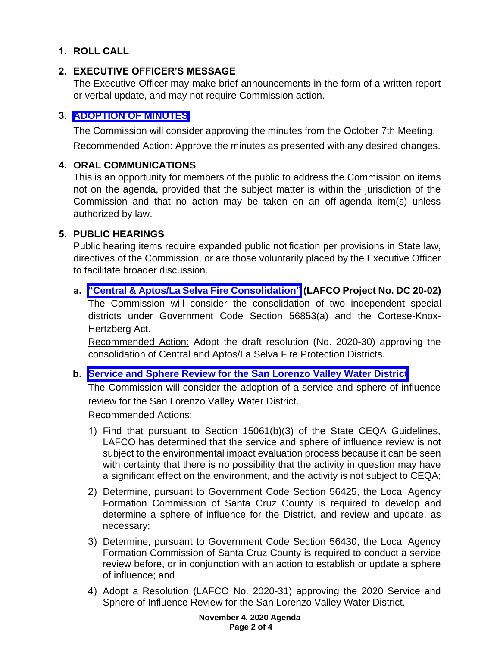# **1. ROLL CALL**

## **2. EXECUTIVE OFFICER'S MESSAGE**

The Executive Officer may make brief announcements in the form of a written report or verbal update, and may not require Commission action.

### **3. [ADOPTION OF MINUTES](https://www.santacruzlafco.org/wp-content/uploads/2020/10/3.0-10-7-20-Draft-Minutes.pdf)**

The Commission will consider approving the minutes from the October 7th Meeting.

Recommended Action: Approve the minutes as presented with any desired changes.

#### **4. ORAL COMMUNICATIONS**

This is an opportunity for members of the public to address the Commission on items not on the agenda, provided that the subject matter is within the jurisdiction of the Commission and that no action may be taken on an off-agenda item(s) unless authorized by law.

#### **5. PUBLIC HEARINGS**

Public hearing items require expanded public notification per provisions in State law, directives of the Commission, or are those voluntarily placed by the Executive Officer to facilitate broader discussion.

#### **a. ["Central & Aptos/La Selva Fire Consolidation"](https://www.santacruzlafco.org/wp-content/uploads/2020/10/5a.0-Fire-Consolidation-Staff-Report.pdf) (LAFCO Project No. DC 20-02)**

The Commission will consider the consolidation of two independent special districts under Government Code Section 56853(a) and the Cortese-Knox-Hertzberg Act.

Recommended Action: Adopt the draft resolution (No. 2020-30) approving the consolidation of Central and Aptos/La Selva Fire Protection Districts.

#### **b. [Service and Sphere Review for the San Lorenzo Valley Water District](https://www.santacruzlafco.org/wp-content/uploads/2020/10/5b.0-SLVWD-MSR-Staff-Report.pdf)**

The Commission will consider the adoption of a service and sphere of influence review for the San Lorenzo Valley Water District.

Recommended Actions:

- 1) Find that pursuant to Section 15061(b)(3) of the State CEQA Guidelines, LAFCO has determined that the service and sphere of influence review is not subject to the environmental impact evaluation process because it can be seen with certainty that there is no possibility that the activity in question may have a significant effect on the environment, and the activity is not subject to CEQA;
- 2) Determine, pursuant to Government Code Section 56425, the Local Agency Formation Commission of Santa Cruz County is required to develop and determine a sphere of influence for the District, and review and update, as necessary;
- 3) Determine, pursuant to Government Code Section 56430, the Local Agency Formation Commission of Santa Cruz County is required to conduct a service review before, or in conjunction with an action to establish or update a sphere of influence; and
- 4) Adopt a Resolution (LAFCO No. 2020-31) approving the 2020 Service and Sphere of Influence Review for the San Lorenzo Valley Water District.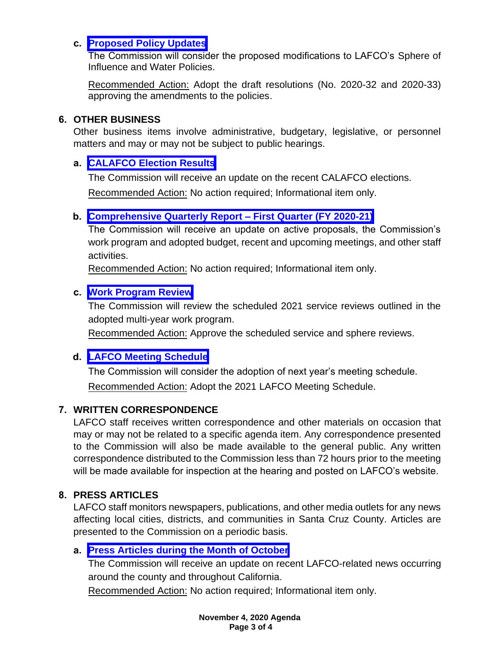### **c. [Proposed Policy Updates](https://www.santacruzlafco.org/wp-content/uploads/2020/10/5c.0-Policy-Updates-Staff-Report.pdf)**

The Commission will consider the proposed modifications to LAFCO's Sphere of Influence and Water Policies.

Recommended Action: Adopt the draft resolutions (No. 2020-32 and 2020-33) approving the amendments to the policies.

## **6. OTHER BUSINESS**

Other business items involve administrative, budgetary, legislative, or personnel matters and may or may not be subject to public hearings.

## **a. [CALAFCO Election Results](https://www.santacruzlafco.org/wp-content/uploads/2020/10/6a.0-CALAFCO-Election-Results-Staff-Report.pdf)**

The Commission will receive an update on the recent CALAFCO elections.

Recommended Action: No action required; Informational item only.

# **b. [Comprehensive Quarterly Report –](https://www.santacruzlafco.org/wp-content/uploads/2020/10/6b.0-Comp-Quarterly-Update-Staff-Report.pdf) First Quarter (FY 2020-21)**

The Commission will receive an update on active proposals, the Commission's work program and adopted budget, recent and upcoming meetings, and other staff activities.

Recommended Action: No action required; Informational item only.

## **c. [Work Program Review](https://www.santacruzlafco.org/wp-content/uploads/2020/10/6c.0-Work-Program-Staff-Report.pdf)**

The Commission will review the scheduled 2021 service reviews outlined in the adopted multi-year work program.

Recommended Action: Approve the scheduled service and sphere reviews.

# **d. [LAFCO Meeting Schedule](https://www.santacruzlafco.org/wp-content/uploads/2020/10/6d.0-Meeting-Schedule-Staff-Report.pdf)**

The Commission will consider the adoption of next year's meeting schedule. Recommended Action: Adopt the 2021 LAFCO Meeting Schedule.

# **7. WRITTEN CORRESPONDENCE**

LAFCO staff receives written correspondence and other materials on occasion that may or may not be related to a specific agenda item. Any correspondence presented to the Commission will also be made available to the general public. Any written correspondence distributed to the Commission less than 72 hours prior to the meeting will be made available for inspection at the hearing and posted on LAFCO's website.

# **8. PRESS ARTICLES**

LAFCO staff monitors newspapers, publications, and other media outlets for any news affecting local cities, districts, and communities in Santa Cruz County. Articles are presented to the Commission on a periodic basis.

# **a. [Press Articles during the Month of October](https://www.santacruzlafco.org/wp-content/uploads/2020/10/8a.0-Press-Articles-Staff-Report.pdf)**

The Commission will receive an update on recent LAFCO-related news occurring around the county and throughout California.

Recommended Action: No action required; Informational item only.